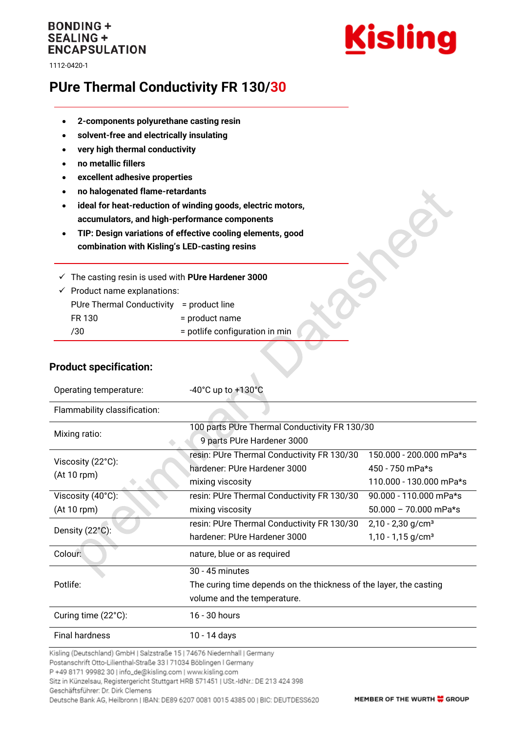## **BONDING + SEALING + ENCAPSULATION**

1112-0420-1



# **PUre Thermal Conductivity FR 130/30**

- **2-components polyurethane casting resin**
- **solvent-free and electrically insulating**
- **very high thermal conductivity**
- **no metallic fillers**
- **excellent adhesive properties**
- **no halogenated flame-retardants**
- **ideal for heat-reduction of winding goods, electric motors, accumulators, and high-performance components**
- **TIP: Design variations of effective cooling elements, good combination with Kisling's LED-casting resins**

✓ The casting resin is used with **PUre Hardener 3000**

| $\checkmark$ Product name explanations:  |                                |  |
|------------------------------------------|--------------------------------|--|
| PUre Thermal Conductivity = product line |                                |  |
| FR 130                                   | = product name                 |  |
| 730                                      | = potlife configuration in min |  |
|                                          |                                |  |

### **Product specification:**

| Operating temperature:       | $-40^{\circ}$ C up to $+130^{\circ}$ C                             |                                 |  |
|------------------------------|--------------------------------------------------------------------|---------------------------------|--|
| Flammability classification: |                                                                    |                                 |  |
| Mixing ratio:                | 100 parts PUre Thermal Conductivity FR 130/30                      |                                 |  |
|                              | 9 parts PUre Hardener 3000                                         |                                 |  |
| Viscosity (22°C):            | resin: PUre Thermal Conductivity FR 130/30                         | 150.000 - 200.000 mPa*s         |  |
| (At 10 rpm)                  | hardener: PUre Hardener 3000                                       | 450 - 750 mPa*s                 |  |
|                              | mixing viscosity                                                   | 110.000 - 130.000 mPa*s         |  |
| Viscosity (40°C):            | resin: PUre Thermal Conductivity FR 130/30                         | 90.000 - 110.000 mPa*s          |  |
| (At 10 rpm)                  | mixing viscosity                                                   | $50.000 - 70.000$ mPa*s         |  |
| Density (22°C):              | resin: PUre Thermal Conductivity FR 130/30                         | $2,10 - 2,30$ g/cm <sup>3</sup> |  |
|                              | hardener: PUre Hardener 3000                                       | $1,10 - 1,15$ g/cm <sup>3</sup> |  |
| Colour:                      | nature, blue or as required                                        |                                 |  |
|                              | $30 - 45$ minutes                                                  |                                 |  |
| Potlife:                     | The curing time depends on the thickness of the layer, the casting |                                 |  |
|                              | volume and the temperature.                                        |                                 |  |
| Curing time (22°C):          | 16 - 30 hours                                                      |                                 |  |
| <b>Final hardness</b>        | 10 - 14 days                                                       |                                 |  |

 $\triangle$ 

Kisling (Deutschland) GmbH | Salzstraße 15 | 74676 Niedernhall | Germany

Postanschrift Otto-Lilienthal-Straße 33 | 71034 Böblingen | Germany

P +49 8171 99982 30 | info\_de@kisling.com | www.kisling.com

Sitz in Künzelsau, Registergericht Stuttgart HRB 571451 | USt.-IdNr.: DE 213 424 398

Geschäftsführer: Dr. Dirk Clemens